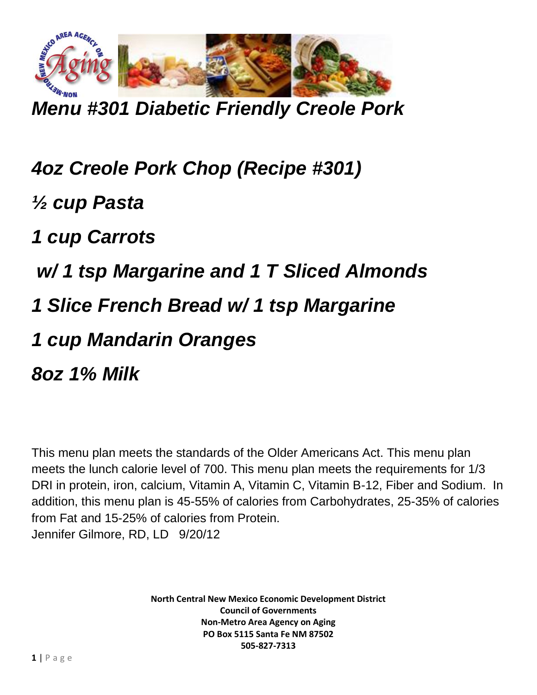

*Menu #301 Diabetic Friendly Creole Pork*

*4oz Creole Pork Chop (Recipe #301) ½ cup Pasta 1 cup Carrots w/ 1 tsp Margarine and 1 T Sliced Almonds 1 Slice French Bread w/ 1 tsp Margarine 1 cup Mandarin Oranges 8oz 1% Milk*

This menu plan meets the standards of the Older Americans Act. This menu plan meets the lunch calorie level of 700. This menu plan meets the requirements for 1/3 DRI in protein, iron, calcium, Vitamin A, Vitamin C, Vitamin B-12, Fiber and Sodium. In addition, this menu plan is 45-55% of calories from Carbohydrates, 25-35% of calories from Fat and 15-25% of calories from Protein. Jennifer Gilmore, RD, LD 9/20/12

> **North Central New Mexico Economic Development District Council of Governments Non-Metro Area Agency on Aging PO Box 5115 Santa Fe NM 87502 505-827-7313**